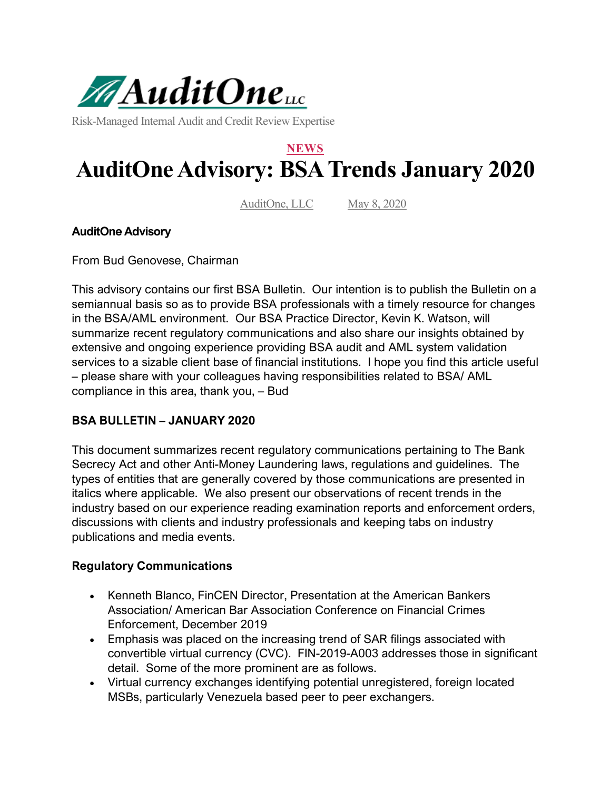

Risk-Managed Internal Audit and Credit Review Expertise

# **NEWS AuditOne Advisory: BSA Trends January 2020**

AuditOne, LLC May 8, 2020

#### **AuditOne Advisory**

From Bud Genovese, Chairman

This advisory contains our first BSA Bulletin. Our intention is to publish the Bulletin on a semiannual basis so as to provide BSA professionals with a timely resource for changes in the BSA/AML environment. Our BSA Practice Director, Kevin K. Watson, will summarize recent regulatory communications and also share our insights obtained by extensive and ongoing experience providing BSA audit and AML system validation services to a sizable client base of financial institutions. I hope you find this article useful – please share with your colleagues having responsibilities related to BSA/ AML compliance in this area, thank you, – Bud

### **BSA BULLETIN – JANUARY 2020**

This document summarizes recent regulatory communications pertaining to The Bank Secrecy Act and other Anti-Money Laundering laws, regulations and guidelines. The types of entities that are generally covered by those communications are presented in italics where applicable. We also present our observations of recent trends in the industry based on our experience reading examination reports and enforcement orders, discussions with clients and industry professionals and keeping tabs on industry publications and media events.

#### **Regulatory Communications**

- Kenneth Blanco, FinCEN Director, Presentation at the American Bankers Association/ American Bar Association Conference on Financial Crimes Enforcement, December 2019
- Emphasis was placed on the increasing trend of SAR filings associated with convertible virtual currency (CVC). FIN-2019-A003 addresses those in significant detail. Some of the more prominent are as follows.
- Virtual currency exchanges identifying potential unregistered, foreign located MSBs, particularly Venezuela based peer to peer exchangers.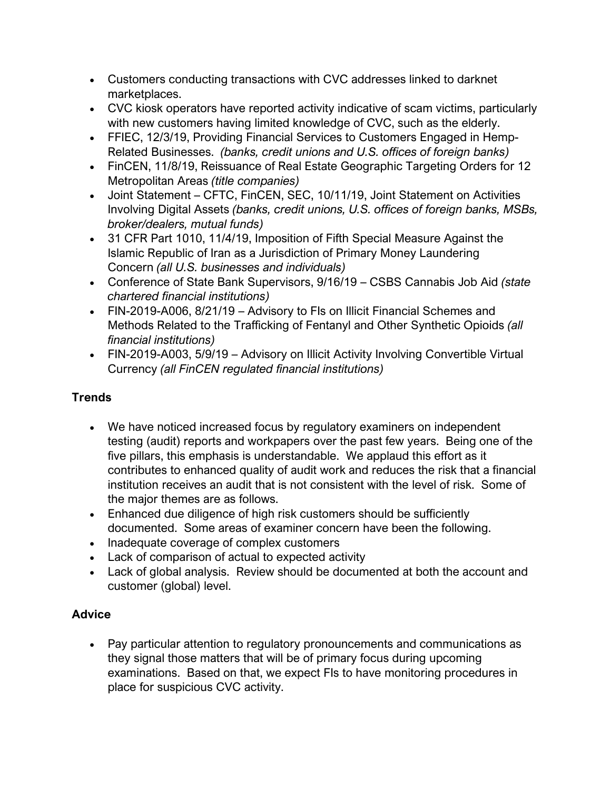- Customers conducting transactions with CVC addresses linked to darknet marketplaces.
- CVC kiosk operators have reported activity indicative of scam victims, particularly with new customers having limited knowledge of CVC, such as the elderly.
- FFIEC, 12/3/19, Providing Financial Services to Customers Engaged in Hemp-Related Businesses. *(banks, credit unions and U.S. offices of foreign banks)*
- FinCEN, 11/8/19, Reissuance of Real Estate Geographic Targeting Orders for 12 Metropolitan Areas *(title companies)*
- Joint Statement CFTC, FinCEN, SEC, 10/11/19, Joint Statement on Activities Involving Digital Assets *(banks, credit unions, U.S. offices of foreign banks, MSBs, broker/dealers, mutual funds)*
- 31 CFR Part 1010, 11/4/19, Imposition of Fifth Special Measure Against the Islamic Republic of Iran as a Jurisdiction of Primary Money Laundering Concern *(all U.S. businesses and individuals)*
- Conference of State Bank Supervisors, 9/16/19 CSBS Cannabis Job Aid *(state chartered financial institutions)*
- FIN-2019-A006, 8/21/19 Advisory to FIs on Illicit Financial Schemes and Methods Related to the Trafficking of Fentanyl and Other Synthetic Opioids *(all financial institutions)*
- FIN-2019-A003, 5/9/19 Advisory on Illicit Activity Involving Convertible Virtual Currency *(all FinCEN regulated financial institutions)*

## **Trends**

- We have noticed increased focus by regulatory examiners on independent testing (audit) reports and workpapers over the past few years. Being one of the five pillars, this emphasis is understandable. We applaud this effort as it contributes to enhanced quality of audit work and reduces the risk that a financial institution receives an audit that is not consistent with the level of risk. Some of the major themes are as follows.
- Enhanced due diligence of high risk customers should be sufficiently documented. Some areas of examiner concern have been the following.
- Inadequate coverage of complex customers
- Lack of comparison of actual to expected activity
- Lack of global analysis. Review should be documented at both the account and customer (global) level.

## **Advice**

• Pay particular attention to regulatory pronouncements and communications as they signal those matters that will be of primary focus during upcoming examinations. Based on that, we expect FIs to have monitoring procedures in place for suspicious CVC activity.